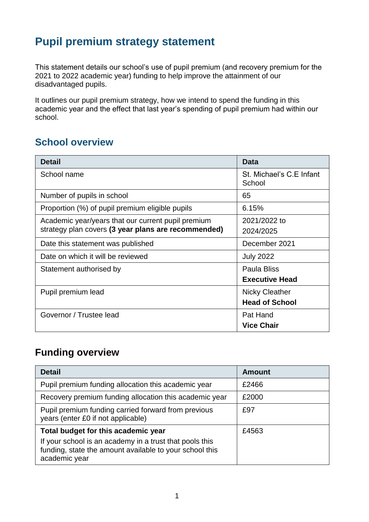# **Pupil premium strategy statement**

This statement details our school's use of pupil premium (and recovery premium for the 2021 to 2022 academic year) funding to help improve the attainment of our disadvantaged pupils.

It outlines our pupil premium strategy, how we intend to spend the funding in this academic year and the effect that last year's spending of pupil premium had within our school.

### **School overview**

| <b>Detail</b>                                       | <b>Data</b>                        |
|-----------------------------------------------------|------------------------------------|
| School name                                         | St. Michael's C.E Infant<br>School |
| Number of pupils in school                          | 65                                 |
| Proportion (%) of pupil premium eligible pupils     | 6.15%                              |
| Academic year/years that our current pupil premium  | 2021/2022 to                       |
| strategy plan covers (3 year plans are recommended) | 2024/2025                          |
| Date this statement was published                   | December 2021                      |
| Date on which it will be reviewed                   | <b>July 2022</b>                   |
| Statement authorised by                             | Paula Bliss                        |
|                                                     | <b>Executive Head</b>              |
| Pupil premium lead                                  | <b>Nicky Cleather</b>              |
|                                                     | <b>Head of School</b>              |
| Governor / Trustee lead                             | Pat Hand                           |
|                                                     | <b>Vice Chair</b>                  |

### **Funding overview**

| <b>Detail</b>                                                                                                                       | <b>Amount</b> |
|-------------------------------------------------------------------------------------------------------------------------------------|---------------|
| Pupil premium funding allocation this academic year                                                                                 | £2466         |
| Recovery premium funding allocation this academic year                                                                              | £2000         |
| Pupil premium funding carried forward from previous<br>years (enter £0 if not applicable)                                           | £97           |
| Total budget for this academic year                                                                                                 | £4563         |
| If your school is an academy in a trust that pools this<br>funding, state the amount available to your school this<br>academic year |               |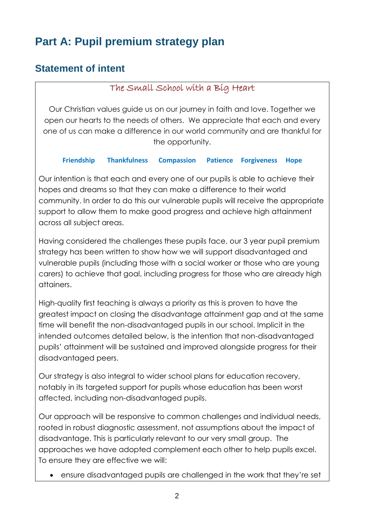# **Part A: Pupil premium strategy plan**

### **Statement of intent**

#### The Small School with a Big Heart

Our Christian values guide us on our journey in faith and love. Together we open our hearts to the needs of others. We appreciate that each and every one of us can make a difference in our world community and are thankful for the opportunity.

#### **Friendship Thankfulness Compassion Patience Forgiveness Hope**

Our intention is that each and every one of our pupils is able to achieve their hopes and dreams so that they can make a difference to their world community. In order to do this our vulnerable pupils will receive the appropriate support to allow them to make good progress and achieve high attainment across all subject areas.

Having considered the challenges these pupils face, our 3 year pupil premium strategy has been written to show how we will support disadvantaged and vulnerable pupils (including those with a social worker or those who are young carers) to achieve that goal, including progress for those who are already high attainers.

High-quality first teaching is always a priority as this is proven to have the greatest impact on closing the disadvantage attainment gap and at the same time will benefit the non-disadvantaged pupils in our school. Implicit in the intended outcomes detailed below, is the intention that non-disadvantaged pupils' attainment will be sustained and improved alongside progress for their disadvantaged peers.

Our strategy is also integral to wider school plans for education recovery, notably in its targeted support for pupils whose education has been worst affected, including non-disadvantaged pupils.

Our approach will be responsive to common challenges and individual needs, rooted in robust diagnostic assessment, not assumptions about the impact of disadvantage. This is particularly relevant to our very small group. The approaches we have adopted complement each other to help pupils excel. To ensure they are effective we will:

ensure disadvantaged pupils are challenged in the work that they're set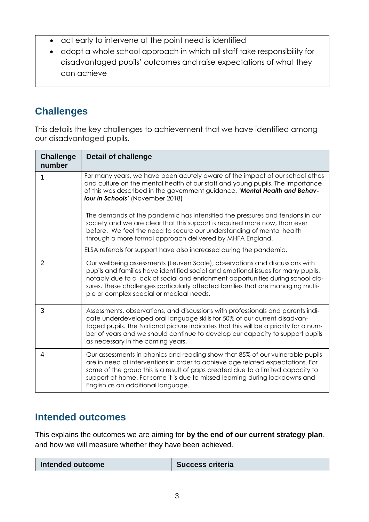- act early to intervene at the point need is identified
- adopt a whole school approach in which all staff take responsibility for disadvantaged pupils' outcomes and raise expectations of what they can achieve

# **Challenges**

This details the key challenges to achievement that we have identified among our disadvantaged pupils.

| <b>Challenge</b><br>number | <b>Detail of challenge</b>                                                                                                                                                                                                                                                                                                                                                        |
|----------------------------|-----------------------------------------------------------------------------------------------------------------------------------------------------------------------------------------------------------------------------------------------------------------------------------------------------------------------------------------------------------------------------------|
|                            | For many years, we have been acutely aware of the impact of our school ethos<br>and culture on the mental health of our staff and young pupils. The importance<br>of this was described in the government guidance, 'Mental Health and Behav-<br>iour in Schools' (November 2018)                                                                                                 |
|                            | The demands of the pandemic has intensified the pressures and tensions in our<br>society and we are clear that this support is required more now, than ever<br>before. We feel the need to secure our understanding of mental health<br>through a more formal approach delivered by MHFA England.                                                                                 |
|                            | ELSA referrals for support have also increased during the pandemic.                                                                                                                                                                                                                                                                                                               |
| $\overline{2}$             | Our wellbeing assessments (Leuven Scale), observations and discussions with<br>pupils and families have identified social and emotional issues for many pupils,<br>notably due to a lack of social and enrichment opportunities during school clo-<br>sures. These challenges particularly affected families that are managing multi-<br>ple or complex special or medical needs. |
| 3                          | Assessments, observations, and discussions with professionals and parents indi-<br>cate underdeveloped oral language skills for 50% of our current disadvan-<br>taged pupils. The National picture indicates that this will be a priority for a num-<br>ber of years and we should continue to develop our capacity to support pupils<br>as necessary in the coming years.        |
| 4                          | Our assessments in phonics and reading show that 85% of our vulnerable pupils<br>are in need of interventions in order to achieve age related expectations. For<br>some of the group this is a result of gaps created due to a limited capacity to<br>support at home. For some it is due to missed learning during lockdowns and<br>English as an additional language.           |

### **Intended outcomes**

This explains the outcomes we are aiming for **by the end of our current strategy plan**, and how we will measure whether they have been achieved.

|--|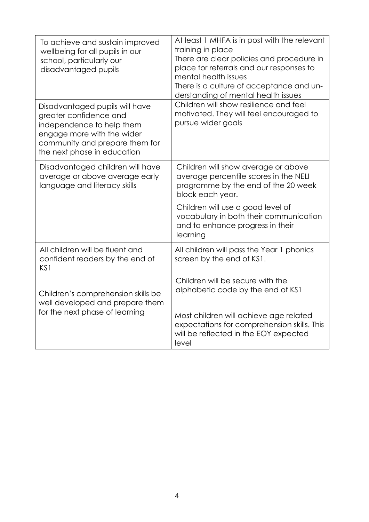| To achieve and sustain improved<br>wellbeing for all pupils in our<br>school, particularly our<br>disadvantaged pupils                                                               | At least 1 MHFA is in post with the relevant<br>training in place<br>There are clear policies and procedure in<br>place for referrals and our responses to<br>mental health issues<br>There is a culture of acceptance and un-<br>derstanding of mental health issues |
|--------------------------------------------------------------------------------------------------------------------------------------------------------------------------------------|-----------------------------------------------------------------------------------------------------------------------------------------------------------------------------------------------------------------------------------------------------------------------|
| Disadvantaged pupils will have<br>greater confidence and<br>independence to help them<br>engage more with the wider<br>community and prepare them for<br>the next phase in education | Children will show resilience and feel<br>motivated. They will feel encouraged to<br>pursue wider goals                                                                                                                                                               |
| Disadvantaged children will have<br>average or above average early<br>language and literacy skills                                                                                   | Children will show average or above<br>average percentile scores in the NELI<br>programme by the end of the 20 week<br>block each year.                                                                                                                               |
|                                                                                                                                                                                      | Children will use a good level of<br>vocabulary in both their communication<br>and to enhance progress in their<br>learning                                                                                                                                           |
| All children will be fluent and<br>confident readers by the end of<br>KS1                                                                                                            | All children will pass the Year 1 phonics<br>screen by the end of KS1.                                                                                                                                                                                                |
| Children's comprehension skills be<br>well developed and prepare them                                                                                                                | Children will be secure with the<br>alphabetic code by the end of KS1                                                                                                                                                                                                 |
| for the next phase of learning                                                                                                                                                       | Most children will achieve age related<br>expectations for comprehension skills. This<br>will be reflected in the EOY expected<br>level                                                                                                                               |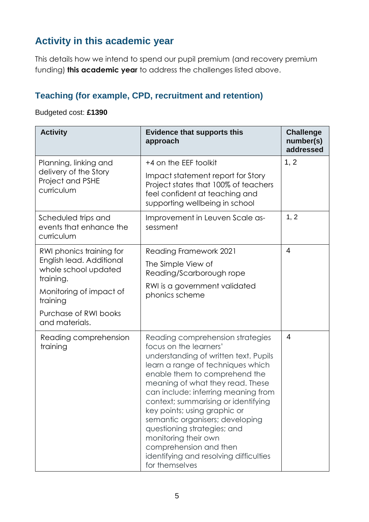## **Activity in this academic year**

This details how we intend to spend our pupil premium (and recovery premium funding) **this academic year** to address the challenges listed above.

#### **Teaching (for example, CPD, recruitment and retention)**

#### Budgeted cost: **£1390**

| <b>Activity</b>                                               | <b>Evidence that supports this</b><br>approach                                                                                                                                                                                                                                                                                                                                                                                                                                                              | <b>Challenge</b><br>number(s)<br>addressed |
|---------------------------------------------------------------|-------------------------------------------------------------------------------------------------------------------------------------------------------------------------------------------------------------------------------------------------------------------------------------------------------------------------------------------------------------------------------------------------------------------------------------------------------------------------------------------------------------|--------------------------------------------|
| Planning, linking and                                         | +4 on the EEF toolkit                                                                                                                                                                                                                                                                                                                                                                                                                                                                                       | 1, 2                                       |
| delivery of the Story<br>Project and PSHE<br>curriculum       | Impact statement report for Story<br>Project states that 100% of teachers<br>feel confident at teaching and<br>supporting wellbeing in school                                                                                                                                                                                                                                                                                                                                                               |                                            |
| Scheduled trips and<br>events that enhance the<br>curriculum  | Improvement in Leuven Scale as-<br>sessment                                                                                                                                                                                                                                                                                                                                                                                                                                                                 | 1, 2                                       |
| RWI phonics training for                                      | <b>Reading Framework 2021</b>                                                                                                                                                                                                                                                                                                                                                                                                                                                                               | $\overline{4}$                             |
| English lead. Additional<br>whole school updated<br>training. | The Simple View of<br>Reading/Scarborough rope                                                                                                                                                                                                                                                                                                                                                                                                                                                              |                                            |
| Monitoring of impact of<br>training                           | RWI is a government validated<br>phonics scheme                                                                                                                                                                                                                                                                                                                                                                                                                                                             |                                            |
| Purchase of RWI books<br>and materials.                       |                                                                                                                                                                                                                                                                                                                                                                                                                                                                                                             |                                            |
| Reading comprehension<br>training                             | Reading comprehension strategies<br>focus on the learners'<br>understanding of written text. Pupils<br>learn a range of techniques which<br>enable them to comprehend the<br>meaning of what they read. These<br>can include: inferring meaning from<br>context; summarising or identifying<br>key points; using graphic or<br>semantic organisers; developing<br>questioning strategies; and<br>monitoring their own<br>comprehension and then<br>identifying and resolving difficulties<br>for themselves | $\overline{4}$                             |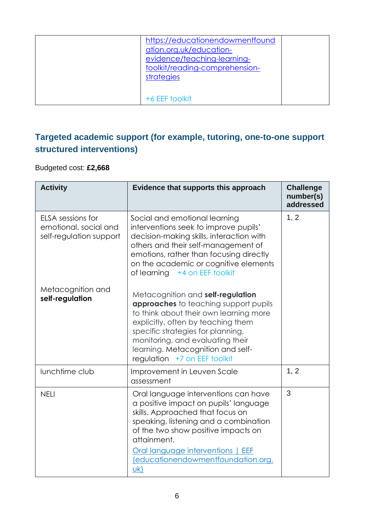| https://educationendowmentfound<br>ation.org.uk/education-<br>evidence/teaching-learning-<br>toolkit/reading-comprehension-<br>strategies |  |
|-------------------------------------------------------------------------------------------------------------------------------------------|--|
| +6 EEF toolkit                                                                                                                            |  |

### **Targeted academic support (for example, tutoring, one-to-one support structured interventions)**

#### Budgeted cost: **£2,668**

| <b>Activity</b>                                                       | Evidence that supports this approach                                                                                                                                                                                                                                                                            | <b>Challenge</b><br>number(s)<br>addressed |
|-----------------------------------------------------------------------|-----------------------------------------------------------------------------------------------------------------------------------------------------------------------------------------------------------------------------------------------------------------------------------------------------------------|--------------------------------------------|
| ELSA sessions for<br>emotional, social and<br>self-regulation support | Social and emotional learning<br>interventions seek to improve pupils'<br>decision-making skills, interaction with<br>others and their self-management of<br>emotions, rather than focusing directly<br>on the academic or cognitive elements<br>of learning +4 on EEF toolkit                                  | 1, 2                                       |
| Metacognition and<br>self-regulation                                  | Metacognition and self-regulation<br><b>approaches</b> to teaching support pupils<br>to think about their own learning more<br>explicitly, often by teaching them<br>specific strategies for planning,<br>monitoring, and evaluating their<br>learning. Metacognition and self-<br>regulation +7 on EEF toolkit |                                            |
| lunchtime club                                                        | Improvement in Leuven Scale<br>assessment                                                                                                                                                                                                                                                                       | 1, 2                                       |
| <b>NELI</b>                                                           | Oral language interventions can have<br>a positive impact on pupils' language<br>skills. Approached that focus on<br>speaking, listening and a combination<br>of the two show positive impacts on<br>attainment.<br>Oral language interventions   EEF<br>(educationendowmentfoundation.org.<br>uk)              | 3                                          |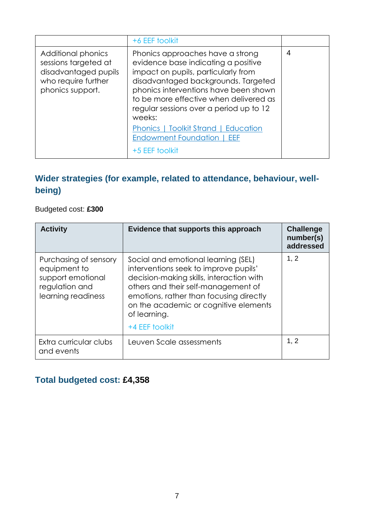|                                                                                                               | +6 EEF toolkit                                                                                                                                                                                                                                                                                |   |
|---------------------------------------------------------------------------------------------------------------|-----------------------------------------------------------------------------------------------------------------------------------------------------------------------------------------------------------------------------------------------------------------------------------------------|---|
| Additional phonics<br>sessions targeted at<br>disadvantaged pupils<br>who require further<br>phonics support. | Phonics approaches have a strong<br>evidence base indicating a positive<br>impact on pupils, particularly from<br>disadvantaged backgrounds. Targeted<br>phonics interventions have been shown<br>to be more effective when delivered as<br>regular sessions over a period up to 12<br>weeks: | 4 |
|                                                                                                               | Phonics   Toolkit Strand   Education<br>Endowment Foundation   EEF                                                                                                                                                                                                                            |   |
|                                                                                                               | +5 EEF toolkit                                                                                                                                                                                                                                                                                |   |

### **Wider strategies (for example, related to attendance, behaviour, wellbeing)**

#### Budgeted cost: **£300**

| <b>Activity</b>                                                                                    | Evidence that supports this approach                                                                                                                                                                                                                                                  | <b>Challenge</b><br>number(s)<br>addressed |
|----------------------------------------------------------------------------------------------------|---------------------------------------------------------------------------------------------------------------------------------------------------------------------------------------------------------------------------------------------------------------------------------------|--------------------------------------------|
| Purchasing of sensory<br>equipment to<br>support emotional<br>regulation and<br>learning readiness | Social and emotional learning (SEL)<br>interventions seek to improve pupils'<br>decision-making skills, interaction with<br>others and their self-management of<br>emotions, rather than focusing directly<br>on the academic or cognitive elements<br>of learning.<br>+4 EEF toolkit | 1, 2                                       |
| Extra curricular clubs<br>and events                                                               | Leuven Scale assessments                                                                                                                                                                                                                                                              | 1, 2                                       |

## **Total budgeted cost: £4,358**